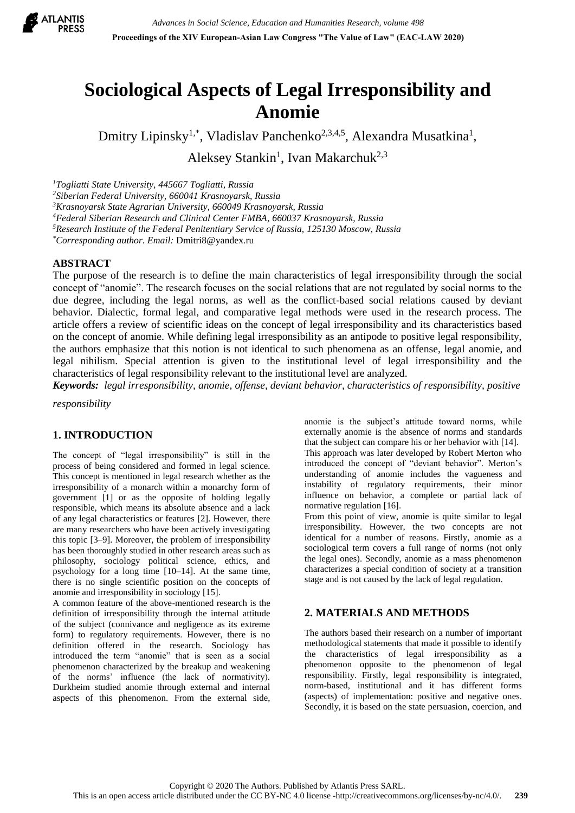

# **Sociological Aspects of Legal Irresponsibility and Anomie**

Dmitry Lipinsky<sup>1,\*</sup>, Vladislav Panchenko<sup>2,3,4,5</sup>, Alexandra Musatkina<sup>1</sup>,

Aleksey Stankin<sup>1</sup>, Ivan Makarchuk<sup>2,3</sup>

*Togliatti State University, 445667 Togliatti, Russia Siberian Federal University, 660041 Krasnoyarsk, Russia Krasnoyarsk State Agrarian University, 660049 Krasnoyarsk, Russia Federal Siberian Research and Clinical Center FMBA, 660037 Krasnoyarsk, Russia Research Institute of the Federal Penitentiary Service of Russia, 125130 Moscow, Russia \*Corresponding author. Email:* [Dmitri8@yandex.ru](https://e.mail.ru/compose?To=Dmitri8@yandex.ru)

# **ABSTRACT**

The purpose of the research is to define the main characteristics of legal irresponsibility through the social concept of "anomie". The research focuses on the social relations that are not regulated by social norms to the due degree, including the legal norms, as well as the conflict-based social relations caused by deviant behavior. Dialectic, formal legal, and comparative legal methods were used in the research process. The article offers a review of scientific ideas on the concept of legal irresponsibility and its characteristics based on the concept of anomie. While defining legal irresponsibility as an antipode to positive legal responsibility, the authors emphasize that this notion is not identical to such phenomena as an offense, legal anomie, and legal nihilism. Special attention is given to the institutional level of legal irresponsibility and the characteristics of legal responsibility relevant to the institutional level are analyzed.

*Keywords: legal irresponsibility, anomie, offense, deviant behavior, characteristics of responsibility, positive* 

*responsibility*

### **1. INTRODUCTION**

The concept of "legal irresponsibility" is still in the process of being considered and formed in legal science. This concept is mentioned in legal research whether as the irresponsibility of a monarch within a monarchy form of government [1] or as the opposite of holding legally responsible, which means its absolute absence and a lack of any legal characteristics or features [2]. However, there are many researchers who have been actively investigating this topic [3–9]. Moreover, the problem of irresponsibility has been thoroughly studied in other research areas such as philosophy, sociology political science, ethics, and psychology for a long time [10–14]. At the same time, there is no single scientific position on the concepts of anomie and irresponsibility in sociology [15].

A common feature of the above-mentioned research is the definition of irresponsibility through the internal attitude of the subject (connivance and negligence as its extreme form) to regulatory requirements. However, there is no definition offered in the research. Sociology has introduced the term "anomie" that is seen as a social phenomenon characterized by the breakup and weakening of the norms' influence (the lack of normativity). Durkheim studied anomie through external and internal aspects of this phenomenon. From the external side, anomie is the subject's attitude toward norms, while externally anomie is the absence of norms and standards that the subject can compare his or her behavior with [14].

This approach was later developed by Robert Merton who introduced the concept of "deviant behavior". Merton's understanding of anomie includes the vagueness and instability of regulatory requirements, their minor influence on behavior, a complete or partial lack of normative regulation [16].

From this point of view, anomie is quite similar to legal irresponsibility. However, the two concepts are not identical for a number of reasons. Firstly, anomie as a sociological term covers a full range of norms (not only the legal ones). Secondly, anomie as a mass phenomenon characterizes a special condition of society at a transition stage and is not caused by the lack of legal regulation.

# **2. MATERIALS AND METHODS**

The authors based their research on a number of important methodological statements that made it possible to identify the characteristics of legal irresponsibility as a phenomenon opposite to the phenomenon of legal responsibility. Firstly, legal responsibility is integrated, norm-based, institutional and it has different forms (aspects) of implementation: positive and negative ones. Secondly, it is based on the state persuasion, coercion, and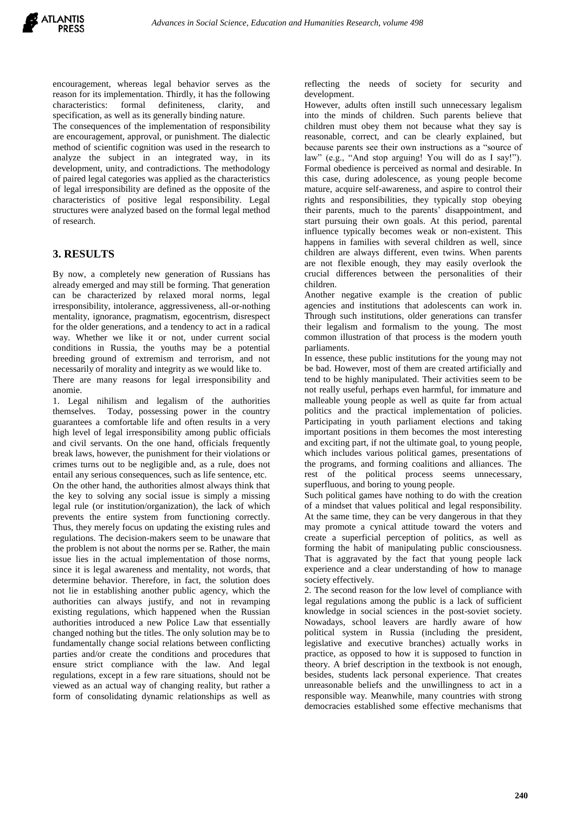encouragement, whereas legal behavior serves as the reason for its implementation. Thirdly, it has the following characteristics: formal definiteness, clarity, and specification, as well as its generally binding nature.

The consequences of the implementation of responsibility are encouragement, approval, or punishment. The dialectic method of scientific cognition was used in the research to analyze the subject in an integrated way, in its development, unity, and contradictions. The methodology of paired legal categories was applied as the characteristics of legal irresponsibility are defined as the opposite of the characteristics of positive legal responsibility. Legal structures were analyzed based on the formal legal method of research.

## **3. RESULTS**

By now, a completely new generation of Russians has already emerged and may still be forming. That generation can be characterized by relaxed moral norms, legal irresponsibility, intolerance, aggressiveness, all-or-nothing mentality, ignorance, pragmatism, egocentrism, disrespect for the older generations, and a tendency to act in a radical way. Whether we like it or not, under current social conditions in Russia, the youths may be a potential breeding ground of extremism and terrorism, and not necessarily of morality and integrity as we would like to.

There are many reasons for legal irresponsibility and anomie.

1. Legal nihilism and legalism of the authorities themselves. Today, possessing power in the country guarantees a comfortable life and often results in a very high level of legal irresponsibility among public officials and civil servants. On the one hand, officials frequently break laws, however, the punishment for their violations or crimes turns out to be negligible and, as a rule, does not entail any serious consequences, such as life sentence, etc.

On the other hand, the authorities almost always think that the key to solving any social issue is simply a missing legal rule (or institution/organization), the lack of which prevents the entire system from functioning correctly. Thus, they merely focus on updating the existing rules and regulations. The decision-makers seem to be unaware that the problem is not about the norms per se. Rather, the main issue lies in the actual implementation of those norms, since it is legal awareness and mentality, not words, that determine behavior. Therefore, in fact, the solution does not lie in establishing another public agency, which the authorities can always justify, and not in revamping existing regulations, which happened when the Russian authorities introduced a new Police Law that essentially changed nothing but the titles. The only solution may be to fundamentally change social relations between conflicting parties and/or create the conditions and procedures that ensure strict compliance with the law. And legal regulations, except in a few rare situations, should not be viewed as an actual way of changing reality, but rather a form of consolidating dynamic relationships as well as

reflecting the needs of society for security and development.

However, adults often instill such unnecessary legalism into the minds of children. Such parents believe that children must obey them not because what they say is reasonable, correct, and can be clearly explained, but because parents see their own instructions as a "source of law" (e.g., "And stop arguing! You will do as I say!"). Formal obedience is perceived as normal and desirable. In this case, during adolescence, as young people become mature, acquire self-awareness, and aspire to control their rights and responsibilities, they typically stop obeying their parents, much to the parents' disappointment, and start pursuing their own goals. At this period, parental influence typically becomes weak or non-existent. This happens in families with several children as well, since children are always different, even twins. When parents are not flexible enough, they may easily overlook the crucial differences between the personalities of their children.

Another negative example is the creation of public agencies and institutions that adolescents can work in. Through such institutions, older generations can transfer their legalism and formalism to the young. The most common illustration of that process is the modern youth parliaments.

In essence, these public institutions for the young may not be bad. However, most of them are created artificially and tend to be highly manipulated. Their activities seem to be not really useful, perhaps even harmful, for immature and malleable young people as well as quite far from actual politics and the practical implementation of policies. Participating in youth parliament elections and taking important positions in them becomes the most interesting and exciting part, if not the ultimate goal, to young people, which includes various political games, presentations of the programs, and forming coalitions and alliances. The rest of the political process seems unnecessary, superfluous, and boring to young people.

Such political games have nothing to do with the creation of a mindset that values political and legal responsibility. At the same time, they can be very dangerous in that they may promote a cynical attitude toward the voters and create a superficial perception of politics, as well as forming the habit of manipulating public consciousness. That is aggravated by the fact that young people lack experience and a clear understanding of how to manage society effectively.

2. The second reason for the low level of compliance with legal regulations among the public is a lack of sufficient knowledge in social sciences in the post-soviet society. Nowadays, school leavers are hardly aware of how political system in Russia (including the president, legislative and executive branches) actually works in practice, as opposed to how it is supposed to function in theory. A brief description in the textbook is not enough, besides, students lack personal experience. That creates unreasonable beliefs and the unwillingness to act in a responsible way. Meanwhile, many countries with strong democracies established some effective mechanisms that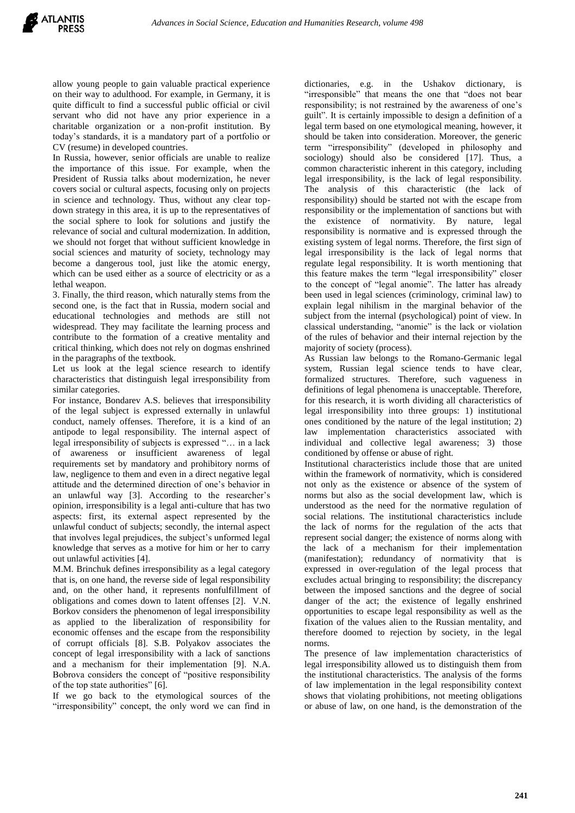allow young people to gain valuable practical experience on their way to adulthood. For example, in Germany, it is quite difficult to find a successful public official or civil servant who did not have any prior experience in a charitable organization or a non-profit institution. By today's standards, it is a mandatory part of a portfolio or CV (resume) in developed countries.

In Russia, however, senior officials are unable to realize the importance of this issue. For example, when the President of Russia talks about modernization, he never covers social or cultural aspects, focusing only on projects in science and technology. Thus, without any clear topdown strategy in this area, it is up to the representatives of the social sphere to look for solutions and justify the relevance of social and cultural modernization. In addition, we should not forget that without sufficient knowledge in social sciences and maturity of society, technology may become a dangerous tool, just like the atomic energy, which can be used either as a source of electricity or as a lethal weapon.

3. Finally, the third reason, which naturally stems from the second one, is the fact that in Russia, modern social and educational technologies and methods are still not widespread. They may facilitate the learning process and contribute to the formation of a creative mentality and critical thinking, which does not rely on dogmas enshrined in the paragraphs of the textbook.

Let us look at the legal science research to identify characteristics that distinguish legal irresponsibility from similar categories.

For instance, Bondarev A.S. believes that irresponsibility of the legal subject is expressed externally in unlawful conduct, namely offenses. Therefore, it is a kind of an antipode to legal responsibility. The internal aspect of legal irresponsibility of subjects is expressed "… in a lack of awareness or insufficient awareness of legal requirements set by mandatory and prohibitory norms of law, negligence to them and even in a direct negative legal attitude and the determined direction of one's behavior in an unlawful way [3]. According to the researcher's opinion, irresponsibility is a legal anti-culture that has two aspects: first, its external aspect represented by the unlawful conduct of subjects; secondly, the internal aspect that involves legal prejudices, the subject's unformed legal knowledge that serves as a motive for him or her to carry out unlawful activities [4].

M.M. Brinchuk defines irresponsibility as a legal category that is, on one hand, the reverse side of legal responsibility and, on the other hand, it represents nonfulfillment of obligations and comes down to latent offenses [2]. V.N. Borkov considers the phenomenon of legal irresponsibility as applied to the liberalization of responsibility for economic offenses and the escape from the responsibility of corrupt officials [8]. S.B. Polyakov associates the concept of legal irresponsibility with a lack of sanctions and a mechanism for their implementation [9]. N.A. Bobrova considers the concept of "positive responsibility of the top state authorities" [6].

If we go back to the etymological sources of the "irresponsibility" concept, the only word we can find in

dictionaries, e.g. in the Ushakov dictionary, is "irresponsible" that means the one that "does not bear responsibility; is not restrained by the awareness of one's guilt". It is certainly impossible to design a definition of a legal term based on one etymological meaning, however, it should be taken into consideration. Moreover, the generic term "irresponsibility" (developed in philosophy and sociology) should also be considered [17]. Thus, a common characteristic inherent in this category, including legal irresponsibility, is the lack of legal responsibility. The analysis of this characteristic (the lack of responsibility) should be started not with the escape from responsibility or the implementation of sanctions but with the existence of normativity. By nature, legal responsibility is normative and is expressed through the existing system of legal norms. Therefore, the first sign of legal irresponsibility is the lack of legal norms that regulate legal responsibility. It is worth mentioning that this feature makes the term "legal irresponsibility" closer to the concept of "legal anomie". The latter has already been used in legal sciences (criminology, criminal law) to explain legal nihilism in the marginal behavior of the subject from the internal (psychological) point of view. In classical understanding, "anomie" is the lack or violation of the rules of behavior and their internal rejection by the majority of society (process).

As Russian law belongs to the Romano-Germanic legal system, Russian legal science tends to have clear, formalized structures. Therefore, such vagueness in definitions of legal phenomena is unacceptable. Therefore, for this research, it is worth dividing all characteristics of legal irresponsibility into three groups: 1) institutional ones conditioned by the nature of the legal institution; 2) law implementation characteristics associated with individual and collective legal awareness; 3) those conditioned by offense or abuse of right.

Institutional characteristics include those that are united within the framework of normativity, which is considered not only as the existence or absence of the system of norms but also as the social development law, which is understood as the need for the normative regulation of social relations. The institutional characteristics include the lack of norms for the regulation of the acts that represent social danger; the existence of norms along with the lack of a mechanism for their implementation (manifestation); redundancy of normativity that is expressed in over-regulation of the legal process that excludes actual bringing to responsibility; the discrepancy between the imposed sanctions and the degree of social danger of the act; the existence of legally enshrined opportunities to escape legal responsibility as well as the fixation of the values alien to the Russian mentality, and therefore doomed to rejection by society, in the legal norms.

The presence of law implementation characteristics of legal irresponsibility allowed us to distinguish them from the institutional characteristics. The analysis of the forms of law implementation in the legal responsibility context shows that violating prohibitions, not meeting obligations or abuse of law, on one hand, is the demonstration of the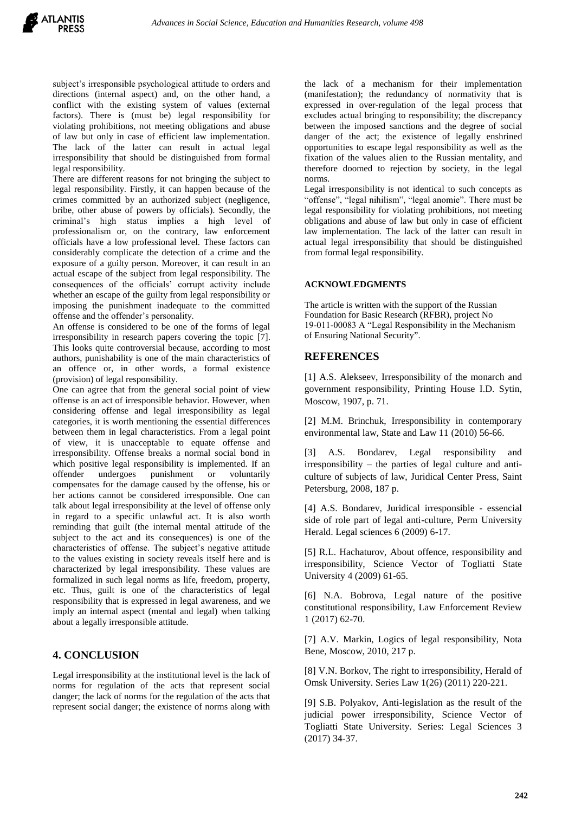subject's irresponsible psychological attitude to orders and directions (internal aspect) and, on the other hand, a conflict with the existing system of values (external factors). There is (must be) legal responsibility for violating prohibitions, not meeting obligations and abuse of law but only in case of efficient law implementation. The lack of the latter can result in actual legal irresponsibility that should be distinguished from formal legal responsibility.

There are different reasons for not bringing the subject to legal responsibility. Firstly, it can happen because of the crimes committed by an authorized subject (negligence, bribe, other abuse of powers by officials). Secondly, the criminal's high status implies a high level of professionalism or, on the contrary, law enforcement officials have a low professional level. These factors can considerably complicate the detection of a crime and the exposure of a guilty person. Moreover, it can result in an actual escape of the subject from legal responsibility. The consequences of the officials' corrupt activity include whether an escape of the guilty from legal responsibility or imposing the punishment inadequate to the committed offense and the offender's personality.

An offense is considered to be one of the forms of legal irresponsibility in research papers covering the topic [7]. This looks quite controversial because, according to most authors, punishability is one of the main characteristics of an offence or, in other words, a formal existence (provision) of legal responsibility.

One can agree that from the general social point of view offense is an act of irresponsible behavior. However, when considering offense and legal irresponsibility as legal categories, it is worth mentioning the essential differences between them in legal characteristics. From a legal point of view, it is unacceptable to equate offense and irresponsibility. Offense breaks a normal social bond in which positive legal responsibility is implemented. If an offender undergoes punishment or voluntarily compensates for the damage caused by the offense, his or her actions cannot be considered irresponsible. One can talk about legal irresponsibility at the level of offense only in regard to a specific unlawful act. It is also worth reminding that guilt (the internal mental attitude of the subject to the act and its consequences) is one of the characteristics of offense. The subject's negative attitude to the values existing in society reveals itself here and is characterized by legal irresponsibility. These values are formalized in such legal norms as life, freedom, property, etc. Thus, guilt is one of the characteristics of legal responsibility that is expressed in legal awareness, and we imply an internal aspect (mental and legal) when talking about a legally irresponsible attitude.

### **4. CONCLUSION**

Legal irresponsibility at the institutional level is the lack of norms for regulation of the acts that represent social danger; the lack of norms for the regulation of the acts that represent social danger; the existence of norms along with

the lack of a mechanism for their implementation (manifestation); the redundancy of normativity that is expressed in over-regulation of the legal process that excludes actual bringing to responsibility; the discrepancy between the imposed sanctions and the degree of social danger of the act; the existence of legally enshrined opportunities to escape legal responsibility as well as the fixation of the values alien to the Russian mentality, and therefore doomed to rejection by society, in the legal norms.

Legal irresponsibility is not identical to such concepts as "offense", "legal nihilism", "legal anomie". There must be legal responsibility for violating prohibitions, not meeting obligations and abuse of law but only in case of efficient law implementation. The lack of the latter can result in actual legal irresponsibility that should be distinguished from formal legal responsibility.

#### **ACKNOWLEDGMENTS**

The article is written with the support of the Russian Foundation for Basic Research (RFBR), project No 19-011-00083 А "Legal Responsibility in the Mechanism of Ensuring National Security".

#### **REFERENCES**

[1] A.S. Alekseev, Irresponsibility of the monarch and government responsibility, Printing House I.D. Sytin, Moscow, 1907, p. 71.

[2] M.M. Brinchuk, Irresponsibility in contemporary environmental law, State and Law 11 (2010) 56-66.

[3] A.S. Bondarev, Legal responsibility and irresponsibility – the parties of legal culture and anticulture of subjects of law, Juridical Center Press, Saint Petersburg, 2008, 187 p.

[4] A.S. Bondarev, Juridical irresponsible - essencial side of role part of legal anti-culture, Perm University Herald. Legal sciences 6 (2009) 6-17.

[5] R.L. Hachaturov, About offence, responsibility and irresponsibility, Science Vector of Togliatti State University 4 (2009) 61-65.

[6] N.A. Bobrova, Legal nature of the positive constitutional responsibility, Law Enforcement Review 1 (2017) 62-70.

[7] A.V. Markin, Logics of legal responsibility, Nota Bene, Moscow, 2010, 217 p.

[8] V.N. Borkov, The right to irresponsibility, Herald of Omsk University. Series Law 1(26) (2011) 220-221.

[9] S.B. Polyakov, Anti-legislation as the result of the judicial power irresponsibility, Science Vector of Togliatti State University. Series: Legal Sciences 3 (2017) 34-37.